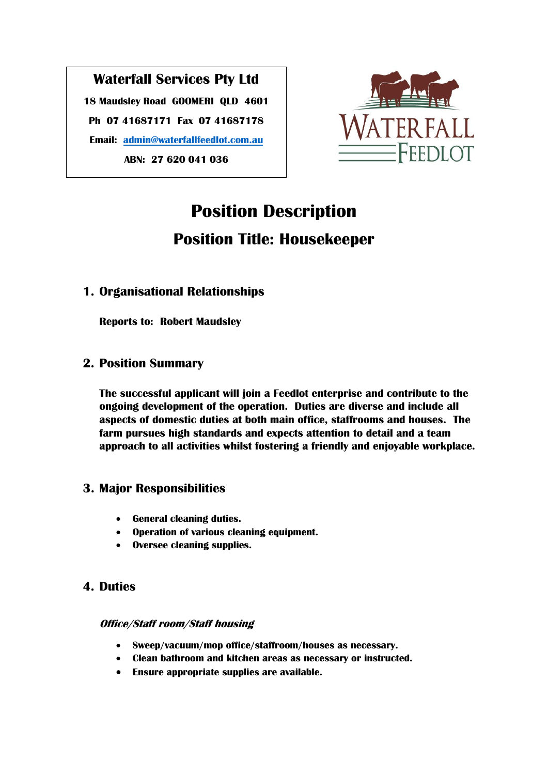## **Waterfall Services Pty Ltd 18 Maudsley Road GOOMERI QLD 4601 Ph 07 41687171 Fax 07 41687178 Email: [admin@waterfallfeedlot.com.au](mailto:admin@waterfallfeedlot.com.au) ABN: 27 620 041 036**



# **Position Description Position Title: Housekeeper**

## **1. Organisational Relationships**

**Reports to: Robert Maudsley**

### **2. Position Summary**

**The successful applicant will join a Feedlot enterprise and contribute to the ongoing development of the operation. Duties are diverse and include all aspects of domestic duties at both main office, staffrooms and houses. The farm pursues high standards and expects attention to detail and a team approach to all activities whilst fostering a friendly and enjoyable workplace.**

## **3. Major Responsibilities**

- **General cleaning duties.**
- **Operation of various cleaning equipment.**
- **Oversee cleaning supplies.**

## **4. Duties**

**Office/Staff room/Staff housing** 

- **Sweep/vacuum/mop office/staffroom/houses as necessary.**
- **Clean bathroom and kitchen areas as necessary or instructed.**
- **Ensure appropriate supplies are available.**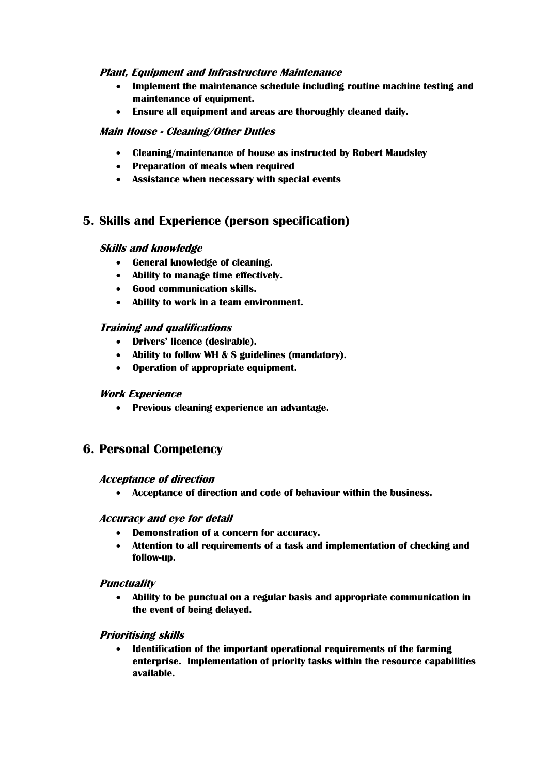#### **Plant, Equipment and Infrastructure Maintenance**

- **Implement the maintenance schedule including routine machine testing and maintenance of equipment.**
- **Ensure all equipment and areas are thoroughly cleaned daily.**

#### **Main House - Cleaning/Other Duties**

- **Cleaning/maintenance of house as instructed by Robert Maudsley**
- **Preparation of meals when required**
- **Assistance when necessary with special events**

## **5. Skills and Experience (person specification)**

#### **Skills and knowledge**

- **General knowledge of cleaning.**
- **Ability to manage time effectively.**
- **Good communication skills.**
- **Ability to work in a team environment.**

#### **Training and qualifications**

- **Drivers' licence (desirable).**
- **Ability to follow WH & S guidelines (mandatory).**
- **Operation of appropriate equipment.**

#### **Work Experience**

• **Previous cleaning experience an advantage.**

#### **6. Personal Competency**

#### **Acceptance of direction**

• **Acceptance of direction and code of behaviour within the business.**

#### **Accuracy and eye for detail**

- **Demonstration of a concern for accuracy.**
- **Attention to all requirements of a task and implementation of checking and follow-up.**

#### **Punctuality**

• **Ability to be punctual on a regular basis and appropriate communication in the event of being delayed.**

#### **Prioritising skills**

• **Identification of the important operational requirements of the farming enterprise. Implementation of priority tasks within the resource capabilities available.**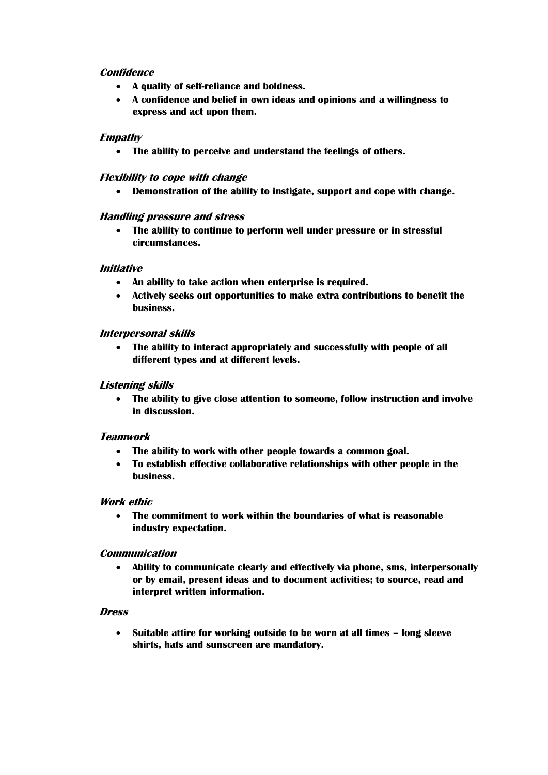#### **Confidence**

- **A quality of self-reliance and boldness.**
- **A confidence and belief in own ideas and opinions and a willingness to express and act upon them.**

#### **Empathy**

• **The ability to perceive and understand the feelings of others.**

#### **Flexibility to cope with change**

• **Demonstration of the ability to instigate, support and cope with change.**

#### **Handling pressure and stress**

• **The ability to continue to perform well under pressure or in stressful circumstances.**

#### **Initiative**

- **An ability to take action when enterprise is required.**
- **Actively seeks out opportunities to make extra contributions to benefit the business.**

#### **Interpersonal skills**

• **The ability to interact appropriately and successfully with people of all different types and at different levels.**

#### **Listening skills**

• **The ability to give close attention to someone, follow instruction and involve in discussion.**

#### **Teamwork**

- **The ability to work with other people towards a common goal.**
- **To establish effective collaborative relationships with other people in the business.**

#### **Work ethic**

• **The commitment to work within the boundaries of what is reasonable industry expectation.**

#### **Communication**

• **Ability to communicate clearly and effectively via phone, sms, interpersonally or by email, present ideas and to document activities; to source, read and interpret written information.**

#### **Dress**

• **Suitable attire for working outside to be worn at all times – long sleeve shirts, hats and sunscreen are mandatory.**